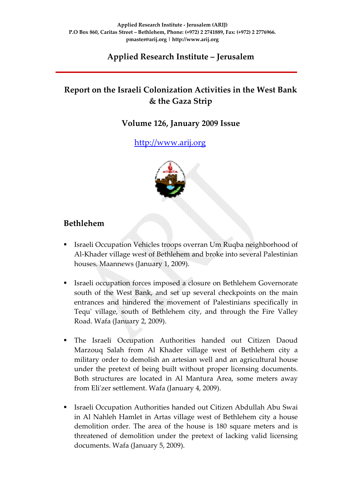## **Applied Research Institute – Jerusalem**

## **Report on the Israeli Colonization Activities in the West Bank & the Gaza Strip**

#### **Volume 126, January 2009 Issue**

#### http://[www.arij.org](http://www.arij.org/)

#### **Bethlehem**

- Israeli Occupation Vehicles troops overran Um Ruqba neighborhood of Al‐Khader village west of Bethlehem and broke into several Palestinian houses. Maannews (January 1, 2009).
- Israeli occupation forces imposed a closure on Bethlehem Governorate south of the West Bank, and set up several checkpoints on the main entrances and hindered the movement of Palestinians specifically in Tequ' village, south of Bethlehem city, and through the Fire Valley Road. Wafa (January 2, 2009).
- The Israeli Occupation Authorities handed out Citizen Daoud Marzouq Salah from Al Khader village west of Bethlehem city a military order to demolish an artesian well and an agricultural house under the pretext of being built without proper licensing documents. Both structures are located in Al Mantura Area, some meters away from Eliʹzer settlement. Wafa (January 4, 2009).
- Israeli Occupation Authorities handed out Citizen Abdullah Abu Swai in Al Nahleh Hamlet in Artas village west of Bethlehem city a house demolition order. The area of the house is 180 square meters and is threatened of demolition under the pretext of lacking valid licensing documents. Wafa (January 5, 2009).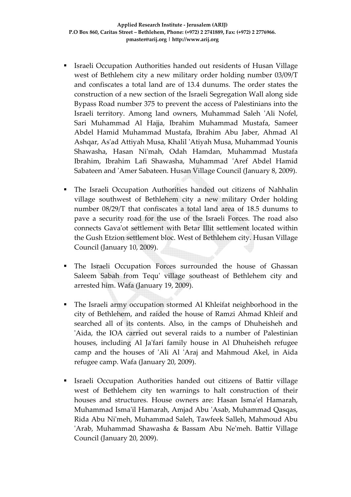- Israeli Occupation Authorities handed out residents of Husan Village west of Bethlehem city a new military order holding number 03/09/T and confiscates a total land are of 13.4 dunums. The order states the construction of a new section of the Israeli Segregation Wall along side Bypass Road number 375 to prevent the access of Palestinians into the Israeli territory. Among land owners, Muhammad Saleh ʹAli Nofel, Sari Muhammad Al Hajja, Ibrahim Muhammad Mustafa, Sameer Abdel Hamid Muhammad Mustafa, Ibrahim Abu Jaber, Ahmad Al Ashqar, Asʹad Attiyah Musa, Khalil ʹAtiyah Musa, Muhammad Younis Shawasha, Hasan Niʹmah, Odah Hamdan, Muhammad Mustafa Ibrahim, Ibrahim Lafi Shawasha, Muhammad ʹAref Abdel Hamid Sabateen and 'Amer Sabateen. Husan Village Council (January 8, 2009).
- The Israeli Occupation Authorities handed out citizens of Nahhalin village southwest of Bethlehem city a new military Order holding number 08/29/T that confiscates a total land area of 18.5 dunums to pave a security road for the use of the Israeli Forces. The road also connects Gavaʹot settlement with Betar Illit settlement located within the Gush Etzion settlement bloc. West of Bethlehem city. Husan Village Council (January 10, 2009).
- The Israeli Occupation Forces surrounded the house of Ghassan Saleem Sabah from Tequ' village southeast of Bethlehem city and arrested him. Wafa (January 19, 2009).
- The Israeli army occupation stormed Al Khleifat neighborhood in the city of Bethlehem, and raided the house of Ramzi Ahmad Khleif and searched all of its contents. Also, in the camps of Dhuheisheh and 'Aida, the IOA carried out several raids to a number of Palestinian houses, including Al Ja'fari family house in Al Dhuheisheh refugee camp and the houses of ʹAli Al ʹAraj and Mahmoud Akel, in Aida refugee camp. Wafa (January 20, 2009).
- Israeli Occupation Authorities handed out citizens of Battir village west of Bethlehem city ten warnings to halt construction of their houses and structures. House owners are: Hasan Isma'el Hamarah, Muhammad Ismaʹil Hamarah, Amjad Abu ʹAsab, Muhammad Qasqas, Rida Abu Niʹmeh, Muhammad Saleh, Tawfeek Salleh, Mahmoud Abu 'Arab, Muhammad Shawasha & Bassam Abu Ne'meh. Battir Village Council (January 20, 2009).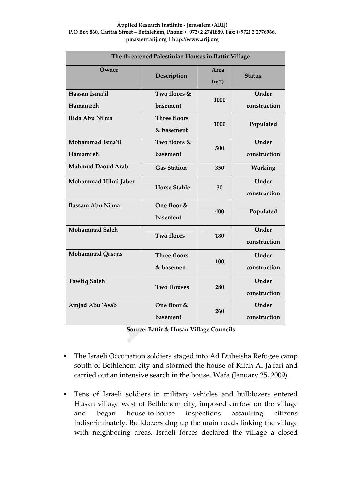#### **Applied Research Institute ‐ Jerusalem (ARIJ) P.O Box 860, Caritas Street – Bethlehem, Phone: (+972) 2 2741889, Fax: (+972) 2 2776966. pmaster@arij.org | http://www.arij.org**

| The threatened Palestinian Houses in Battir Village |                                   |              |                       |  |  |  |
|-----------------------------------------------------|-----------------------------------|--------------|-----------------------|--|--|--|
| Owner                                               | Description                       | Area<br>(m2) | <b>Status</b>         |  |  |  |
| Hassan Isma'il<br>Hamamreh                          | Two floors &<br>1000<br>basement  |              | Under<br>construction |  |  |  |
| Rida Abu Ni'ma                                      | <b>Three floors</b><br>& basement | 1000         | Populated             |  |  |  |
| Mohammad Isma'il<br>Hamamreh                        | Two floors &<br>basement          | 500          | Under<br>construction |  |  |  |
| <b>Mahmud Daoud Arab</b>                            | <b>Gas Station</b>                | 350          | Working               |  |  |  |
| Mohammad Hilmi Jaber                                | <b>Horse Stable</b>               | 30           | Under<br>construction |  |  |  |
| Bassam Abu Ni'ma                                    | One floor &<br>basement           | 400          | Populated             |  |  |  |
| <b>Mohammad Saleh</b>                               | <b>Two floors</b>                 | 180          | Under<br>construction |  |  |  |
| Mohammad Qasqas                                     | <b>Three floors</b><br>& basemen  | 100          | Under<br>construction |  |  |  |
| <b>Tawfiq Saleh</b>                                 | <b>Two Houses</b>                 | 280          | Under<br>construction |  |  |  |
| Amjad Abu 'Asab                                     | One floor &<br>basement           | 260          | Under<br>construction |  |  |  |

**Source: Battir & Husan Village Councils**

- The Israeli Occupation soldiers staged into Ad Duheisha Refugee camp south of Bethlehem city and stormed the house of Kifah Al Ja'fari and carried out an intensive search in the house. Wafa (January 25, 2009).
- Tens of Israeli soldiers in military vehicles and bulldozers entered Husan village west of Bethlehem city, imposed curfew on the village and began house‐to‐house inspections assaulting citizens indiscriminately. Bulldozers dug up the main roads linking the village with neighboring areas. Israeli forces declared the village a closed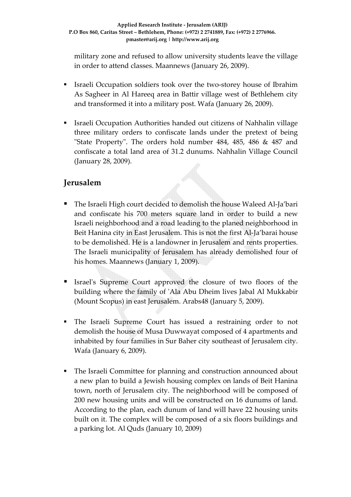military zone and refused to allow university students leave the village in order to attend classes. Maannews (January 26, 2009).

- Israeli Occupation soldiers took over the two‐storey house of Ibrahim As Sagheer in Al Hareeq area in Battir village west of Bethlehem city and transformed it into a military post. Wafa (January 26, 2009).
- Israeli Occupation Authorities handed out citizens of Nahhalin village three military orders to confiscate lands under the pretext of being "State Property". The orders hold number 484, 485, 486 & 487 and confiscate a total land area of 31.2 dunums. Nahhalin Village Council (January 28, 2009).

#### **Jerusalem**

- The Israeli High court decided to demolish the house Waleed Al‐Ja'bari and confiscate his 700 meters square land in order to build a new Israeli neighborhood and a road leading to the planed neighborhood in Beit Hanina city in East Jerusalem. This is not the first Al‐Ja'barai house to be demolished. He is a landowner in Jerusalem and rents properties. The Israeli municipality of Jerusalem has already demolished four of his homes. Maannews (January 1, 2009).
- Israelʹs Supreme Court approved the closure of two floors of the building where the family of ʹAla Abu Dheim lives Jabal Al Mukkabir (Mount Scopus) in east Jerusalem. Arabs48 (January 5, 2009).
- The Israeli Supreme Court has issued a restraining order to not demolish the house of Musa Duwwayat composed of 4 apartments and inhabited by four families in Sur Baher city southeast of Jerusalem city. Wafa (January 6, 2009).
- The Israeli Committee for planning and construction announced about a new plan to build a Jewish housing complex on lands of Beit Hanina town, north of Jerusalem city. The neighborhood will be composed of 200 new housing units and will be constructed on 16 dunums of land. According to the plan, each dunum of land will have 22 housing units built on it. The complex will be composed of a six floors buildings and a parking lot. Al Quds (January 10, 2009)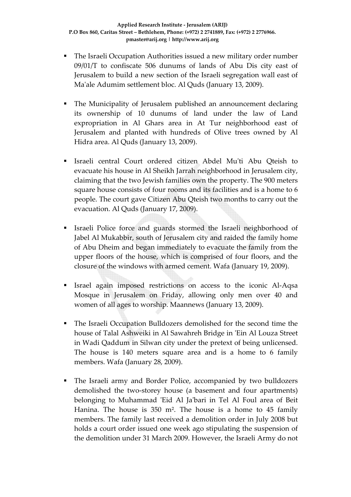- The Israeli Occupation Authorities issued a new military order number 09/01/T to confiscate 506 dunums of lands of Abu Dis city east of Jerusalem to build a new section of the Israeli segregation wall east of Maʹale Adumim settlement bloc. Al Quds (January 13, 2009).
- The Municipality of Jerusalem published an announcement declaring its ownership of 10 dunums of land under the law of Land expropriation in Al Ghars area in At Tur neighborhood east of Jerusalem and planted with hundreds of Olive trees owned by Al Hidra area. Al Quds (January 13, 2009).
- Israeli central Court ordered citizen Abdel Muʹti Abu Qteish to evacuate his house in Al Sheikh Jarrah neighborhood in Jerusalem city, claiming that the two Jewish families own the property. The 900 meters square house consists of four rooms and its facilities and is a home to 6 people. The court gave Citizen Abu Qteish two months to carry out the evacuation. Al Quds (January 17, 2009).
- Israeli Police force and guards stormed the Israeli neighborhood of Jabel Al Mukabbir, south of Jerusalem city and raided the family home of Abu Dheim and began immediately to evacuate the family from the upper floors of the house, which is comprised of four floors, and the closure of the windows with armed cement. Wafa (January 19, 2009).
- Israel again imposed restrictions on access to the iconic Al‐Aqsa Mosque in Jerusalem on Friday, allowing only men over 40 and women of all ages to worship. Maannews (January 13, 2009).
- The Israeli Occupation Bulldozers demolished for the second time the house of Talal Ashweiki in Al Sawahreh Bridge in ʹEin Al Louza Street in Wadi Qaddum in Silwan city under the pretext of being unlicensed. The house is 140 meters square area and is a home to 6 family members. Wafa (January 28, 2009).
- The Israeli army and Border Police, accompanied by two bulldozers demolished the two‐storey house (a basement and four apartments) belonging to Muhammad 'Eid Al Ja'bari in Tel Al Foul area of Beit Hanina. The house is 350 m². The house is a home to 45 family members. The family last received a demolition order in July 2008 but holds a court order issued one week ago stipulating the suspension of the demolition under 31 March 2009. However, the Israeli Army do not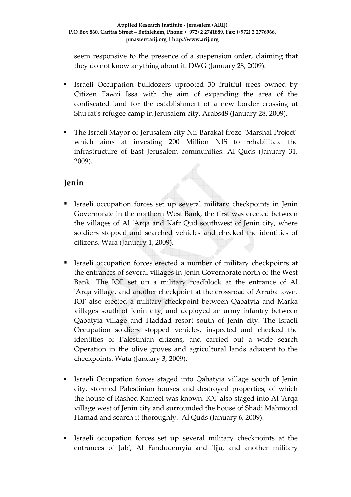seem responsive to the presence of a suspension order, claiming that they do not know anything about it. DWG (January 28, 2009).

- Israeli Occupation bulldozers uprooted 30 fruitful trees owned by Citizen Fawzi Issa with the aim of expanding the area of the confiscated land for the establishment of a new border crossing at Shu'fat's refugee camp in Jerusalem city. Arabs48 (January 28, 2009).
- The Israeli Mayor of Jerusalem city Nir Barakat froze "Marshal Project" which aims at investing 200 Million NIS to rehabilitate the infrastructure of East Jerusalem communities. Al Quds (January 31, 2009).

#### **Jenin**

- Israeli occupation forces set up several military checkpoints in Jenin Governorate in the northern West Bank, the first was erected between the villages of Al 'Arqa and Kafr Qud southwest of Jenin city, where soldiers stopped and searched vehicles and checked the identities of citizens. Wafa (January 1, 2009).
- Israeli occupation forces erected a number of military checkpoints at the entrances of several villages in Jenin Governorate north of the West Bank. The IOF set up a military roadblock at the entrance of Al 'Arqa village, and another checkpoint at the crossroad of Arraba town. IOF also erected a military checkpoint between Qabatyia and Marka villages south of Jenin city, and deployed an army infantry between Qabatyia village and Haddad resort south of Jenin city. The Israeli Occupation soldiers stopped vehicles, inspected and checked the identities of Palestinian citizens, and carried out a wide search Operation in the olive groves and agricultural lands adjacent to the checkpoints. Wafa (January 3, 2009).
- Israeli Occupation forces staged into Qabatyia village south of Jenin city, stormed Palestinian houses and destroyed properties, of which the house of Rashed Kameel was known. IOF also staged into Al ʹArqa village west of Jenin city and surrounded the house of Shadi Mahmoud Hamad and search it thoroughly. Al Quds (January 6, 2009).
- Israeli occupation forces set up several military checkpoints at the entrances of Jab', Al Fanduqemyia and 'Ijja, and another military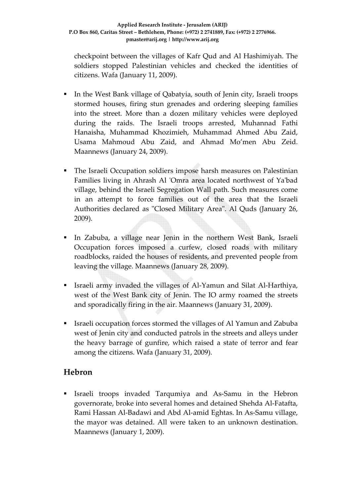checkpoint between the villages of Kafr Qud and Al Hashimiyah. The soldiers stopped Palestinian vehicles and checked the identities of citizens. Wafa (January 11, 2009).

- In the West Bank village of Qabatyia, south of Jenin city, Israeli troops stormed houses, firing stun grenades and ordering sleeping families into the street. More than a dozen military vehicles were deployed during the raids. The Israeli troops arrested, Muhannad Fathi Hanaisha, Muhammad Khozimieh, Muhammad Ahmed Abu Zaid, Usama Mahmoud Abu Zaid, and Ahmad Mo'men Abu Zeid. Maannews (January 24, 2009).
- The Israeli Occupation soldiers impose harsh measures on Palestinian Families living in Ahrash Al 'Omra area located northwest of Ya'bad village, behind the Israeli Segregation Wall path. Such measures come in an attempt to force families out of the area that the Israeli Authorities declared as "Closed Military Area". Al Quds (January 26, 2009).
- In Zabuba, a village near Jenin in the northern West Bank, Israeli Occupation forces imposed a curfew, closed roads with military roadblocks, raided the houses of residents, and prevented people from leaving the village. Maannews (January 28, 2009).
- Israeli army invaded the villages of Al‐Yamun and Silat Al‐Harthiya, west of the West Bank city of Jenin. The IO army roamed the streets and sporadically firing in the air. Maannews (January 31, 2009).
- Israeli occupation forces stormed the villages of Al Yamun and Zabuba west of Jenin city and conducted patrols in the streets and alleys under the heavy barrage of gunfire, which raised a state of terror and fear among the citizens. Wafa (January 31, 2009).

### **Hebron**

 Israeli troops invaded Tarqumiya and As‐Samu in the Hebron governorate, broke into several homes and detained Shehda Al‐Fatafta, Rami Hassan Al‐Badawi and Abd Al‐amid Eghtas. In As‐Samu village, the mayor was detained. All were taken to an unknown destination. Maannews (January 1, 2009).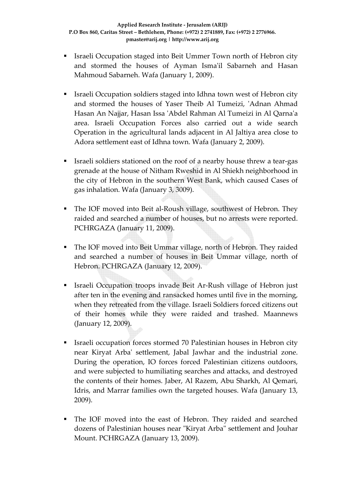- Israeli Occupation staged into Beit Ummer Town north of Hebron city and stormed the houses of Ayman Isma'il Sabarneh and Hasan Mahmoud Sabarneh. Wafa (January 1, 2009).
- Israeli Occupation soldiers staged into Idhna town west of Hebron city and stormed the houses of Yaser Theib Al Tumeizi, 'Adnan Ahmad Hasan An Najjar, Hasan Issa ʹAbdel Rahman Al Tumeizi in Al Qarnaʹa area. Israeli Occupation Forces also carried out a wide search Operation in the agricultural lands adjacent in Al Jaltiya area close to Adora settlement east of Idhna town. Wafa (January 2, 2009).
- Israeli soldiers stationed on the roof of a nearby house threw a tear‐gas grenade at the house of Nitham Rweshid in Al Shiekh neighborhood in the city of Hebron in the southern West Bank, which caused Cases of gas inhalation. Wafa (January 3, 3009).
- The IOF moved into Beit al-Roush village, southwest of Hebron. They raided and searched a number of houses, but no arrests were reported. PCHRGAZA (January 11, 2009).
- The IOF moved into Beit Ummar village, north of Hebron. They raided and searched a number of houses in Beit Ummar village, north of Hebron. PCHRGAZA (January 12, 2009).
- Israeli Occupation troops invade Beit Ar‐Rush village of Hebron just after ten in the evening and ransacked homes until five in the morning, when they retreated from the village. Israeli Soldiers forced citizens out of their homes while they were raided and trashed. Maannews (January 12, 2009).
- Israeli occupation forces stormed 70 Palestinian houses in Hebron city near Kiryat Arbaʹ settlement, Jabal Jawhar and the industrial zone. During the operation, IO forces forced Palestinian citizens outdoors, and were subjected to humiliating searches and attacks, and destroyed the contents of their homes. Jaber, Al Razem, Abu Sharkh, Al Qemari, Idris, and Marrar families own the targeted houses. Wafa (January 13, 2009).
- The IOF moved into the east of Hebron. They raided and searched dozens of Palestinian houses near "Kiryat Arba" settlement and Jouhar Mount. PCHRGAZA (January 13, 2009).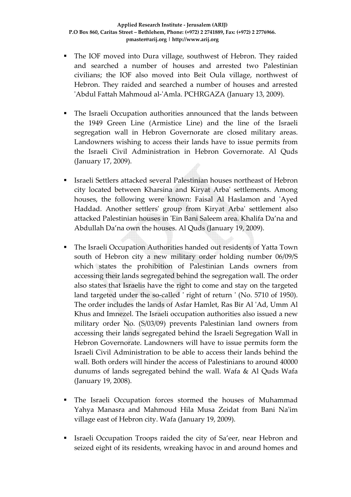- The IOF moved into Dura village, southwest of Hebron. They raided and searched a number of houses and arrested two Palestinian civilians; the IOF also moved into Beit Oula village, northwest of Hebron. They raided and searched a number of houses and arrested 'Abdul Fattah Mahmoud al-'Amla. PCHRGAZA (January 13, 2009).
- The Israeli Occupation authorities announced that the lands between the 1949 Green Line (Armistice Line) and the line of the Israeli segregation wall in Hebron Governorate are closed military areas. Landowners wishing to access their lands have to issue permits from the Israeli Civil Administration in Hebron Governorate. Al Quds (January 17, 2009).
- Israeli Settlers attacked several Palestinian houses northeast of Hebron city located between Kharsina and Kiryat Arbaʹ settlements. Among houses, the following were known: Faisal Al Haslamon and 'Ayed Haddad. Another settlersʹ group from Kiryat Arbaʹ settlement also attacked Palestinian houses in ʹEin Bani Saleem area. Khalifa Da'na and Abdullah Da'na own the houses. Al Quds (January 19, 2009).
- The Israeli Occupation Authorities handed out residents of Yatta Town south of Hebron city a new military order holding number 06/09/S which states the prohibition of Palestinian Lands owners from accessing their lands segregated behind the segregation wall. The order also states that Israelis have the right to come and stay on the targeted land targeted under the so-called 'right of return ' (No. 5710 of 1950). The order includes the lands of Asfar Hamlet, Ras Bir Al ʹAd, Umm Al Khus and Imnezel. The Israeli occupation authorities also issued a new military order No. (S/03/09) prevents Palestinian land owners from accessing their lands segregated behind the Israeli Segregation Wall in Hebron Governorate. Landowners will have to issue permits form the Israeli Civil Administration to be able to access their lands behind the wall. Both orders will hinder the access of Palestinians to around 40000 dunums of lands segregated behind the wall. Wafa & Al Quds Wafa (January 19, 2008).
- The Israeli Occupation forces stormed the houses of Muhammad Yahya Manasra and Mahmoud Hila Musa Zeidat from Bani Naʹim village east of Hebron city. Wafa (January 19, 2009).
- Israeli Occupation Troops raided the city of Sa'eer, near Hebron and seized eight of its residents, wreaking havoc in and around homes and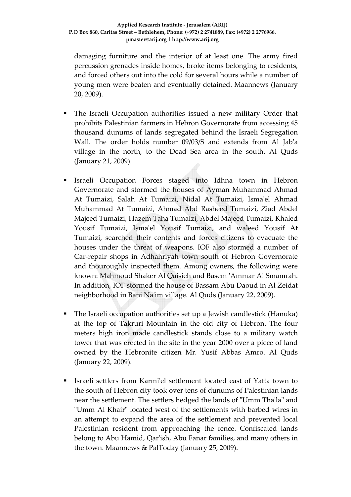damaging furniture and the interior of at least one. The army fired percussion grenades inside homes, broke items belonging to residents, and forced others out into the cold for several hours while a number of young men were beaten and eventually detained. Maannews (January 20, 2009).

- The Israeli Occupation authorities issued a new military Order that prohibits Palestinian farmers in Hebron Governorate from accessing 45 thousand dunums of lands segregated behind the Israeli Segregation Wall. The order holds number 09/03/S and extends from Al Jab'a village in the north, to the Dead Sea area in the south. Al Quds (January 21, 2009).
- Israeli Occupation Forces staged into Idhna town in Hebron Governorate and stormed the houses of Ayman Muhammad Ahmad At Tumaizi, Salah At Tumaizi, Nidal At Tumaizi, Ismaʹel Ahmad Muhammad At Tumaizi, Ahmad Abd Rasheed Tumaizi, Ziad Abdel Majeed Tumaizi, Hazem Taha Tumaizi, Abdel Majeed Tumaizi, Khaled Yousif Tumaizi, Isma'el Yousif Tumaizi, and waleed Yousif At Tumaizi, searched their contents and forces citizens to evacuate the houses under the threat of weapons. IOF also stormed a number of Car-repair shops in Adhahriyah town south of Hebron Governorate and thouroughly inspected them. Among owners, the following were known: Mahmoud Shaker Al Qaisieh and Basem ʹAmmar Al Smamrah. In addition, IOF stormed the house of Bassam Abu Daoud in Al Zeidat neighborhood in Bani Naʹim village. Al Quds (January 22, 2009).
- The Israeli occupation authorities set up a Jewish candlestick (Hanuka) at the top of Takruri Mountain in the old city of Hebron. The four meters high iron made candlestick stands close to a military watch tower that was erected in the site in the year 2000 over a piece of land owned by the Hebronite citizen Mr. Yusif Abbas Amro. Al Quds (January 22, 2009).
- Israeli settlers from Karmiʹel settlement located east of Yatta town to the south of Hebron city took over tens of dunums of Palestinian lands near the settlement. The settlers hedged the lands of "Umm Tha'la" and "Umm Al Khair" located west of the settlements with barbed wires in an attempt to expand the area of the settlement and prevented local Palestinian resident from approaching the fence. Confiscated lands belong to Abu Hamid, Qar'ish, Abu Fanar families, and many others in the town. Maannews & PalToday (January 25, 2009).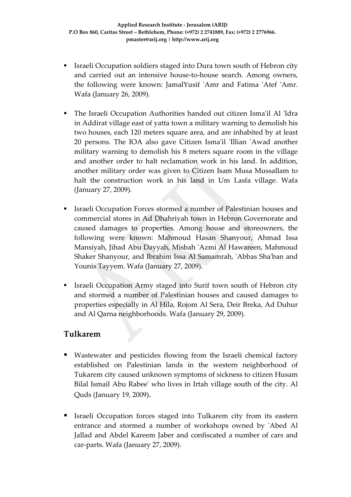- Israeli Occupation soldiers staged into Dura town south of Hebron city and carried out an intensive house‐to‐house search. Among owners, the following were known: JamalYusif 'Amr and Fatima 'Atef 'Amr. Wafa (January 26, 2009).
- The Israeli Occupation Authorities handed out citizen Ismaʹil Al ʹIdra in Addirat village east of yatta town a military warning to demolish his two houses, each 120 meters square area, and are inhabited by at least 20 persons. The IOA also gave Citizen Isma'il 'Illian 'Awad another military warning to demolish his 8 meters square room in the village and another order to halt reclamation work in his land. In addition, another military order was given to Citizen Isam Musa Mussallam to halt the construction work in his land in Um Lasfa village. Wafa (January 27, 2009).
- Israeli Occupation Forces stormed a number of Palestinian houses and commercial stores in Ad Dhahriyah town in Hebron Governorate and caused damages to properties. Among house and storeowners, the following were known: Mahmoud Hasan Shanyour, Ahmad Issa Mansiyah, Jihad Abu Dayyah, Misbah ʹAzmi Al Hawareen, Mahmoud Shaker Shanyour, and Ibrahim Issa Al Samamrah, ʹAbbas Shaʹban and Younis Tayyem. Wafa (January 27, 2009).
- Israeli Occupation Army staged into Surif town south of Hebron city and stormed a number of Palestinian houses and caused damages to properties especially in Al Hila, Rojom Al Sera, Deir Breka, Ad Duhur and Al Qarna neighborhoods. Wafa (January 29, 2009).

#### **Tulkarem**

- Wastewater and pesticides flowing from the Israeli chemical factory established on Palestinian lands in the western neighborhood of Tukarem city caused unknown symptoms of sickness to citizen Husam Bilal Ismail Abu Rabeeʹ who lives in Irtah village south of the city. Al Quds (January 19, 2009).
- Israeli Occupation forces staged into Tulkarem city from its eastern entrance and stormed a number of workshops owned by ʹAbed Al Jallad and Abdel Kareem Jaber and confiscated a number of cars and car-parts. Wafa (January 27, 2009).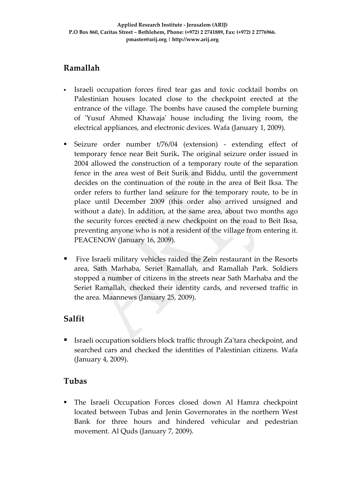### **Ramallah**

- Israeli occupation forces fired tear gas and toxic cocktail bombs on Palestinian houses located close to the checkpoint erected at the entrance of the village. The bombs have caused the complete burning of ʹYusuf Ahmed Khawajaʹ house including the living room, the electrical appliances, and electronic devices. Wafa (January 1, 2009).
- Seizure order number t/76/04 (extension) extending effect of temporary fence near Beit Surik**.** The original seizure order issued in 2004 allowed the construction of a temporary route of the separation fence in the area west of Beit Surik and Biddu, until the government decides on the continuation of the route in the area of Beit Iksa. The order refers to further land seizure for the temporary route, to be in place until December 2009 (this order also arrived unsigned and without a date). In addition, at the same area, about two months ago the security forces erected a new checkpoint on the road to Beit Iksa, preventing anyone who is not a resident of the village from entering it. PEACENOW (January 16, 2009).
- Five Israeli military vehicles raided the Zein restaurant in the Resorts area, Sath Marhaba, Seriet Ramallah, and Ramallah Park. Soldiers stopped a number of citizens in the streets near Sath Marhaba and the Seriet Ramallah, checked their identity cards, and reversed traffic in the area. Maannews (January 25, 2009).

### **Salfit**

■ Israeli occupation soldiers block traffic through Za'tara checkpoint, and searched cars and checked the identities of Palestinian citizens. Wafa (January 4, 2009).

### **Tubas**

 The Israeli Occupation Forces closed down Al Hamra checkpoint located between Tubas and Jenin Governorates in the northern West Bank for three hours and hindered vehicular and pedestrian movement. Al Quds (January 7, 2009).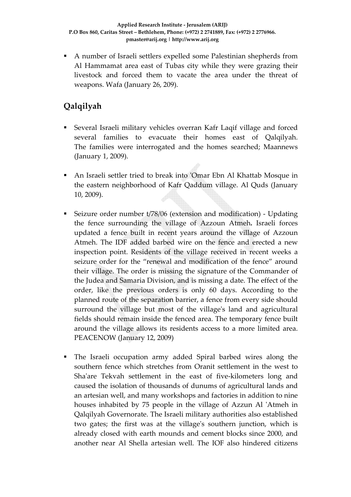A number of Israeli settlers expelled some Palestinian shepherds from Al Hammamat area east of Tubas city while they were grazing their livestock and forced them to vacate the area under the threat of weapons. Wafa (January 26, 209).

# **Qalqilyah**

- Several Israeli military vehicles overran Kafr Laqif village and forced several families to evacuate their homes east of Qalqilyah. The families were interrogated and the homes searched; Maannews (January 1, 2009).
- An Israeli settler tried to break into ʹOmar Ebn Al Khattab Mosque in the eastern neighborhood of Kafr Qaddum village. Al Quds (January 10, 2009).
- Seizure order number t/78/06 (extension and modification) ‐ Updating the fence surrounding the village of Azzoun Atmeh**.** Israeli forces updated a fence built in recent years around the village of Azzoun Atmeh. The IDF added barbed wire on the fence and erected a new inspection point. Residents of the village received in recent weeks a seizure order for the "renewal and modification of the fence" around their village. The order is missing the signature of the Commander of the Judea and Samaria Division, and is missing a date. The effect of the order, like the previous orders is only 60 days. According to the planned route of the separation barrier, a fence from every side should surround the village but most of the village's land and agricultural fields should remain inside the fenced area. The temporary fence built around the village allows its residents access to a more limited area. PEACENOW (January 12, 2009)
- The Israeli occupation army added Spiral barbed wires along the southern fence which stretches from Oranit settlement in the west to Sha'are Tekvah settlement in the east of five-kilometers long and caused the isolation of thousands of dunums of agricultural lands and an artesian well, and many workshops and factories in addition to nine houses inhabited by 75 people in the village of Azzun Al 'Atmeh in Qalqilyah Governorate. The Israeli military authorities also established two gates; the first was at the village's southern junction, which is already closed with earth mounds and cement blocks since 2000, and another near Al Shella artesian well. The IOF also hindered citizens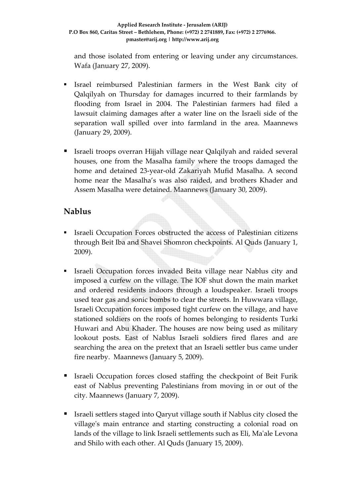and those isolated from entering or leaving under any circumstances. Wafa (January 27, 2009).

- Israel reimbursed Palestinian farmers in the West Bank city of Qalqilyah on Thursday for damages incurred to their farmlands by flooding from Israel in 2004. The Palestinian farmers had filed a lawsuit claiming damages after a water line on the Israeli side of the separation wall spilled over into farmland in the area. Maannews (January 29, 2009).
- Israeli troops overran Hijjah village near Qalqilyah and raided several houses, one from the Masalha family where the troops damaged the home and detained 23‐year‐old Zakariyah Mufid Masalha. A second home near the Masalha's was also raided, and brothers Khader and Assem Masalha were detained. Maannews (January 30, 2009).

#### **Nablus**

- Israeli Occupation Forces obstructed the access of Palestinian citizens through Beit Iba and Shavei Shomron checkpoints. Al Quds (January 1, 2009).
- Israeli Occupation forces invaded Beita village near Nablus city and imposed a curfew on the village. The IOF shut down the main market and ordered residents indoors through a loudspeaker. Israeli troops used tear gas and sonic bombs to clear the streets. In Huwwara village, Israeli Occupation forces imposed tight curfew on the village, and have stationed soldiers on the roofs of homes belonging to residents Turki Huwari and Abu Khader. The houses are now being used as military lookout posts. East of Nablus Israeli soldiers fired flares and are searching the area on the pretext that an Israeli settler bus came under fire nearby. Maannews (January 5, 2009).
- Israeli Occupation forces closed staffing the checkpoint of Beit Furik east of Nablus preventing Palestinians from moving in or out of the city. Maannews (January 7, 2009).
- Israeli settlers staged into Qaryut village south if Nablus city closed the village's main entrance and starting constructing a colonial road on lands of the village to link Israeli settlements such as Eli, Maʹale Levona and Shilo with each other. Al Quds (January 15, 2009).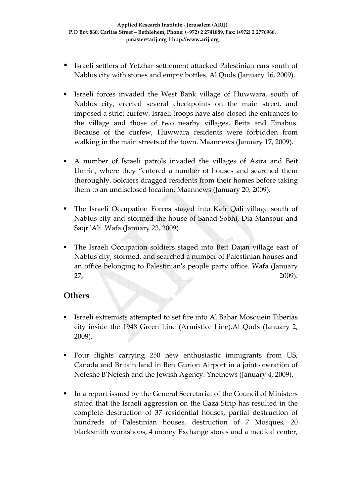- Israeli settlers of Yetzhar settlement attacked Palestinian cars south of Nablus city with stones and empty bottles. Al Quds (January 16, 2009).
- Israeli forces invaded the West Bank village of Huwwara, south of Nablus city, erected several checkpoints on the main street, and imposed a strict curfew. Israeli troops have also closed the entrances to the village and those of two nearby villages, Beita and Einabus. Because of the curfew, Huwwara residents were forbidden from walking in the main streets of the town. Maannews (January 17, 2009).
- A number of Israeli patrols invaded the villages of Asira and Beit Umrin, where they "entered a number of houses and searched them thoroughly. Soldiers dragged residents from their homes before taking them to an undisclosed location. Maannews (January 20, 2009).
- The Israeli Occupation Forces staged into Kafr Qali village south of Nablus city and stormed the house of Sanad Sobhi, Dia Mansour and Saqr ʹAli. Wafa (January 23, 2009).
- The Israeli Occupation soldiers staged into Beit Dajan village east of Nablus city, stormed, and searched a number of Palestinian houses and an office belonging to Palestinianʹs people party office. Wafa (January 27, 2009).

#### **Others**

- Israeli extremists attempted to set fire into Al Bahar Mosquein Tiberias city inside the 1948 Green Line (Armistice Line).Al Quds (January 2, 2009).
- Four flights carrying 250 new enthusiastic immigrants from US, Canada and Britain land in Ben Gurion Airport in a joint operation of Nefeshe BʹNefesh and the Jewish Agency. Ynetnews (January 4, 2009).
- In a report issued by the General Secretariat of the Council of Ministers stated that the Israeli aggression on the Gaza Strip has resulted in the complete destruction of 37 residential houses, partial destruction of hundreds of Palestinian houses, destruction of 7 Mosques, 20 blacksmith workshops, 4 money Exchange stores and a medical center,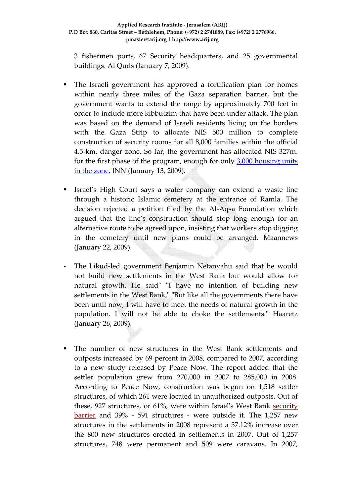3 fishermen ports, 67 Security headquarters, and 25 governmental buildings. Al Quds (January 7, 2009).

- The Israeli government has approved a fortification plan for homes within nearly three miles of the Gaza separation barrier, but the government wants to extend the range by approximately 700 feet in order to include more kibbutzim that have been under attack. The plan was based on the demand of Israeli residents living on the borders with the Gaza Strip to allocate NIS 500 million to complete construction of security rooms for all 8,000 families within the official 4.5‐km. danger zone. So far, the government has allocated NIS 327m. for the first phase of the program, enough for only  $3,000$  [housing](http://www.jpost.com/servlet/Satellite?pagename=JPost/JPArticle/ShowFull&cid=1226404710327) units in the [zone.](http://www.jpost.com/servlet/Satellite?pagename=JPost/JPArticle/ShowFull&cid=1226404710327) INN (January 13, 2009).
- Israel's High Court says a water company can extend a waste line through a historic Islamic cemetery at the entrance of Ramla. The decision rejected a petition filed by the Al‐Aqsa Foundation which argued that the line's construction should stop long enough for an alternative route to be agreed upon, insisting that workers stop digging in the cemetery until new plans could be arranged. Maannews (January 22, 2009).
- The Likud-led government Benjamin Netanyahu said that he would not build new settlements in the West Bank but would allow for natural growth. He said" "I have no intention of building new settlements in the West Bank," "But like all the governments there have been until now, I will have to meet the needs of natural growth in the population. I will not be able to choke the settlements." Haaretz (January 26, 2009).
- The number of new structures in the West Bank settlements and outposts increased by 69 percent in 2008, compared to 2007, according to a new study released by Peace Now. The report added that the settler population grew from 270,000 in 2007 to 285,000 in 2008. According to Peace Now, construction was begun on 1,518 settler structures, of which 261 were located in unauthorized outposts. Out of these, 927 structures, or 61%, were within Israel's West Bank security barrier and 39% - 591 structures - were outside it. The 1,257 new structures in the settlements in 2008 represent a 57.12% increase over the 800 new structures erected in settlements in 2007. Out of 1,257 structures, 748 were permanent and 509 were caravans. In 2007,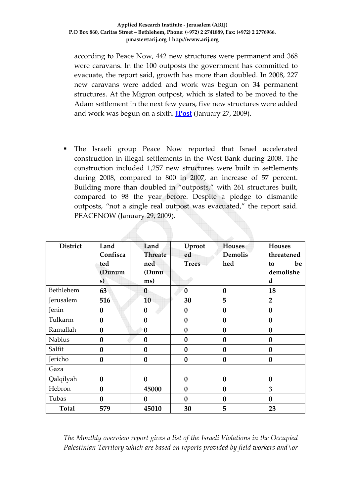according to Peace Now, 442 new structures were permanent and 368 were caravans. In the 100 outposts the government has committed to evacuate, the report said, growth has more than doubled. In 2008, 227 new caravans were added and work was begun on 34 permanent structures. At the Migron outpost, which is slated to be moved to the Adam settlement in the next few years, five new structures were added and work was begun on a sixth. **[JPost](http://www.jpost.com/servlet/Satellite?pagename=JPost%2FJPArticle%2FShowFull&cid=1233050189893)** (January 27, 2009).

 The Israeli group Peace Now reported that Israel accelerated construction in illegal settlements in the West Bank during 2008. The construction included 1,257 new structures were built in settlements during 2008, compared to 800 in 2007, an increase of 57 percent. Building more than doubled in "outposts," with 261 structures built, compared to 98 the year before. Despite a pledge to dismantle outposts, "not a single real outpost was evacuated," the report said. PEACENOW (January 29, 2009).

| <b>District</b> | Land             | Land           | Uproot       | <b>Houses</b>  | <b>Houses</b>    |  |
|-----------------|------------------|----------------|--------------|----------------|------------------|--|
|                 | Confisca         | <b>Threate</b> | ed           | <b>Demolis</b> | threatened       |  |
|                 | ted              | ned            | <b>Trees</b> | hed            | be<br>to         |  |
|                 | (Dunum           | (Dunu          |              |                | demolishe        |  |
|                 | s)               | ms)            |              |                | d                |  |
| Bethlehem       | 63               | $\bf{0}$       | $\bf{0}$     | $\bf{0}$       | 18               |  |
| Jerusalem       | 516              | 10             | 30           | 5              | $\overline{2}$   |  |
| Jenin           | $\boldsymbol{0}$ | $\bf{0}$       | $\bf{0}$     | $\bf{0}$       | $\bf{0}$         |  |
| Tulkarm         | $\bf{0}$         | $\bf{0}$       | $\bf{0}$     | $\bf{0}$       | $\bf{0}$         |  |
| Ramallah        | $\bf{0}$         | $\bf{0}$       | $\bf{0}$     | $\bf{0}$       | $\boldsymbol{0}$ |  |
| <b>Nablus</b>   | $\mathbf{0}$     | $\bf{0}$       | $\bf{0}$     | $\bf{0}$       | $\bf{0}$         |  |
| Salfit          | $\bf{0}$         | $\bf{0}$       | $\bf{0}$     | $\bf{0}$       | $\bf{0}$         |  |
| Jericho         | $\bf{0}$         | $\bf{0}$       | $\bf{0}$     | $\bf{0}$       | $\bf{0}$         |  |
| Gaza            |                  |                |              |                |                  |  |
| Qalqilyah       | $\bf{0}$         | $\bf{0}$       | $\bf{0}$     | $\bf{0}$       | $\boldsymbol{0}$ |  |
| Hebron          | $\bf{0}$         | 45000          | $\bf{0}$     | $\bf{0}$       | 3                |  |
| Tubas           | $\bf{0}$         | $\bf{0}$       | $\bf{0}$     | $\bf{0}$       | $\bf{0}$         |  |
| <b>Total</b>    | 579              | 45010          | 30           | 5              | 23               |  |

*The Monthly overview report gives a list of the Israeli Violations in the Occupied Palestinian Territory which are based on reports provided by field workers and\or*